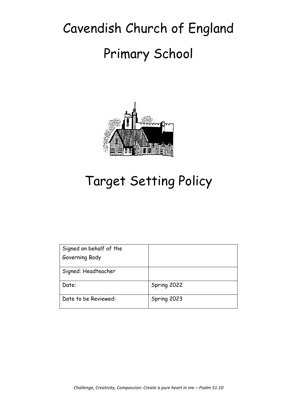# Cavendish Church of England Primary School



# Target Setting Policy

| Signed on behalf of the |             |
|-------------------------|-------------|
| Governing Body          |             |
| Signed: Headteacher     |             |
| Date:                   | Spring 2022 |
| Date to be Reviewed:    | Spring 2023 |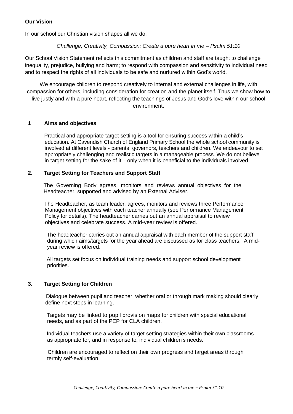# **Our Vision**

In our school our Christian vision shapes all we do.

# *Challenge, Creativity, Compassion: Create a pure heart in me – Psalm 51:10*

Our School Vision Statement reflects this commitment as children and staff are taught to challenge inequality, prejudice, bullying and harm; to respond with compassion and sensitivity to individual need and to respect the rights of all individuals to be safe and nurtured within God's world.

We encourage children to respond creatively to internal and external challenges in life, with compassion for others, including consideration for creation and the planet itself. Thus we show how to live justly and with a pure heart, reflecting the teachings of Jesus and God's love within our school environment.

#### **1 Aims and objectives**

Practical and appropriate target setting is a tool for ensuring success within a child's education. At Cavendish Church of England Primary School the whole school community is involved at different levels - parents, governors, teachers and children. We endeavour to set appropriately challenging and realistic targets in a manageable process. We do not believe in target setting for the sake of it – only when it is beneficial to the individuals involved.

#### **2. Target Setting for Teachers and Support Staff**

The Governing Body agrees, monitors and reviews annual objectives for the Headteacher, supported and advised by an External Adviser.

The Headteacher, as team leader, agrees, monitors and reviews three Performance Management objectives with each teacher annually (see Performance Management Policy for details). The headteacher carries out an annual appraisal to review objectives and celebrate success. A mid-year review is offered.

The headteacher carries out an annual appraisal with each member of the support staff during which aims/targets for the year ahead are discussed as for class teachers. A midyear review is offered.

All targets set focus on individual training needs and support school development priorities.

# **3. Target Setting for Children**

Dialogue between pupil and teacher, whether oral or through mark making should clearly define next steps in learning.

Targets may be linked to pupil provision maps for children with special educational needs, and as part of the PEP for CLA children.

Individual teachers use a variety of target setting strategies within their own classrooms as appropriate for, and in response to, individual children's needs.

 Children are encouraged to reflect on their own progress and target areas through termly self-evaluation.